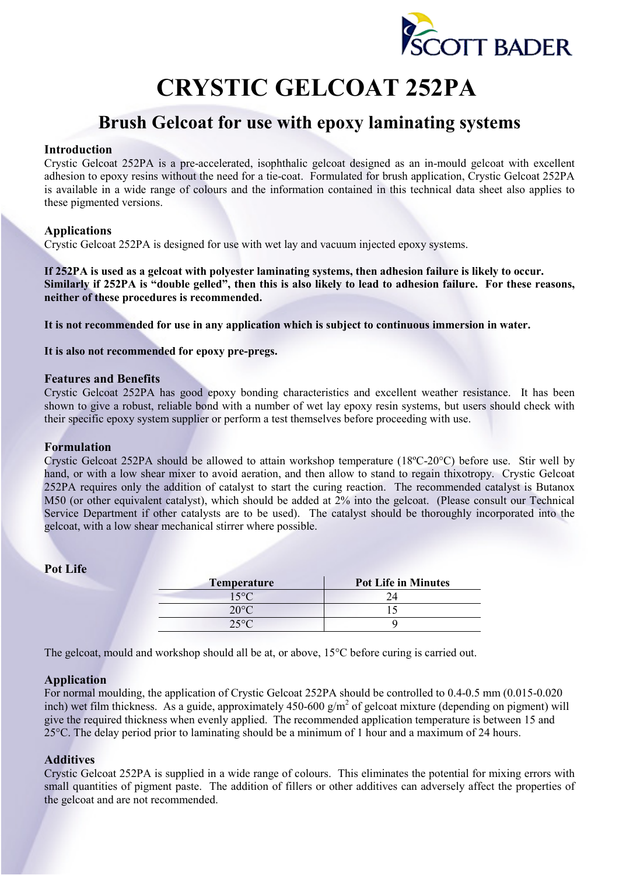

# **CRYSTIC GELCOAT 252PA**

# **Brush Gelcoat for use with epoxy laminating systems**

# **Introduction**

Crystic Gelcoat 252PA is a pre-accelerated, isophthalic gelcoat designed as an in-mould gelcoat with excellent adhesion to epoxy resins without the need for a tie-coat. Formulated for brush application, Crystic Gelcoat 252PA is available in a wide range of colours and the information contained in this technical data sheet also applies to these pigmented versions.

# **Applications**

Crystic Gelcoat 252PA is designed for use with wet lay and vacuum injected epoxy systems.

**If 252PA is used as a gelcoat with polyester laminating systems, then adhesion failure is likely to occur. Similarly if 252PA is "double gelled", then this is also likely to lead to adhesion failure. For these reasons, neither of these procedures is recommended.** 

**It is not recommended for use in any application which is subject to continuous immersion in water.** 

**It is also not recommended for epoxy pre-pregs.** 

#### **Features and Benefits**

Crystic Gelcoat 252PA has good epoxy bonding characteristics and excellent weather resistance. It has been shown to give a robust, reliable bond with a number of wet lay epoxy resin systems, but users should check with their specific epoxy system supplier or perform a test themselves before proceeding with use.

#### **Formulation**

Crystic Gelcoat 252PA should be allowed to attain workshop temperature (18ºC-20°C) before use. Stir well by hand, or with a low shear mixer to avoid aeration, and then allow to stand to regain thixotropy. Crystic Gelcoat 252PA requires only the addition of catalyst to start the curing reaction. The recommended catalyst is Butanox M50 (or other equivalent catalyst), which should be added at 2% into the gelcoat. (Please consult our Technical Service Department if other catalysts are to be used). The catalyst should be thoroughly incorporated into the gelcoat, with a low shear mechanical stirrer where possible.

## **Pot Life**

| <b>Temperature</b> | <b>Pot Life in Minutes</b> |  |  |
|--------------------|----------------------------|--|--|
| 15°C               |                            |  |  |
| 20°                |                            |  |  |
| $25^{\circ}C$      |                            |  |  |

The gelcoat, mould and workshop should all be at, or above, 15<sup>o</sup>C before curing is carried out.

## **Application**

For normal moulding, the application of Crystic Gelcoat 252PA should be controlled to 0.4-0.5 mm (0.015-0.020 inch) wet film thickness. As a guide, approximately  $450-600$  g/m<sup>2</sup> of gelcoat mixture (depending on pigment) will give the required thickness when evenly applied. The recommended application temperature is between 15 and 25°C. The delay period prior to laminating should be a minimum of 1 hour and a maximum of 24 hours.

## **Additives**

Crystic Gelcoat 252PA is supplied in a wide range of colours. This eliminates the potential for mixing errors with small quantities of pigment paste. The addition of fillers or other additives can adversely affect the properties of the gelcoat and are not recommended.